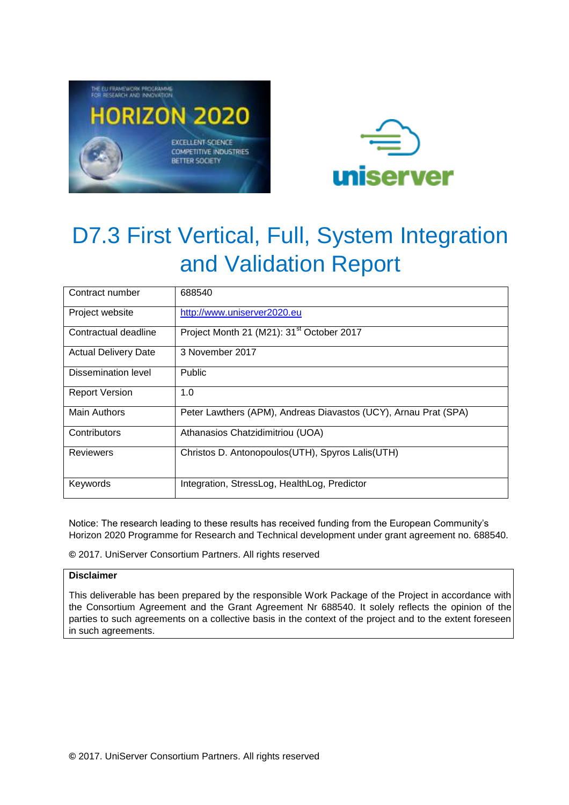



| Contract number             | 688540                                                          |
|-----------------------------|-----------------------------------------------------------------|
| Project website             | http://www.uniserver2020.eu                                     |
| Contractual deadline        | Project Month 21 (M21): 31 <sup>st</sup> October 2017           |
| <b>Actual Delivery Date</b> | 3 November 2017                                                 |
| Dissemination level         | <b>Public</b>                                                   |
| <b>Report Version</b>       | 1.0                                                             |
| <b>Main Authors</b>         | Peter Lawthers (APM), Andreas Diavastos (UCY), Arnau Prat (SPA) |
| Contributors                | Athanasios Chatzidimitriou (UOA)                                |
| <b>Reviewers</b>            | Christos D. Antonopoulos (UTH), Spyros Lalis (UTH)              |
| Keywords                    | Integration, StressLog, HealthLog, Predictor                    |

Notice: The research leading to these results has received funding from the European Community's Horizon 2020 Programme for Research and Technical development under grant agreement no. 688540.

**©** 2017. UniServer Consortium Partners. All rights reserved

#### **Disclaimer**

This deliverable has been prepared by the responsible Work Package of the Project in accordance with the Consortium Agreement and the Grant Agreement Nr 688540. It solely reflects the opinion of the parties to such agreements on a collective basis in the context of the project and to the extent foreseen in such agreements.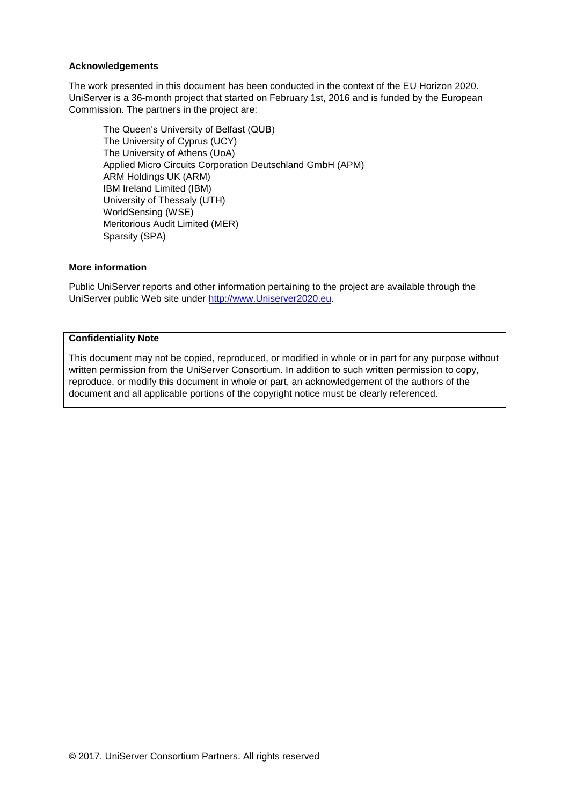#### **Acknowledgements**

The work presented in this document has been conducted in the context of the EU Horizon 2020. UniServer is a 36-month project that started on February 1st, 2016 and is funded by the European Commission. The partners in the project are:

The Queen's University of Belfast (QUB) The University of Cyprus (UCY) The University of Athens (UoA) Applied Micro Circuits Corporation Deutschland GmbH (APM) ARM Holdings UK (ARM) IBM Ireland Limited (IBM) University of Thessaly (UTH) WorldSensing (WSE) Meritorious Audit Limited (MER) Sparsity (SPA)

#### **More information**

Public UniServer reports and other information pertaining to the project are available through the UniServer public Web site under [http://www.Uniserver2020.eu](http://www.uniserver2020.eu/).

#### **Confidentiality Note**

This document may not be copied, reproduced, or modified in whole or in part for any purpose without written permission from the UniServer Consortium. In addition to such written permission to copy, reproduce, or modify this document in whole or part, an acknowledgement of the authors of the document and all applicable portions of the copyright notice must be clearly referenced.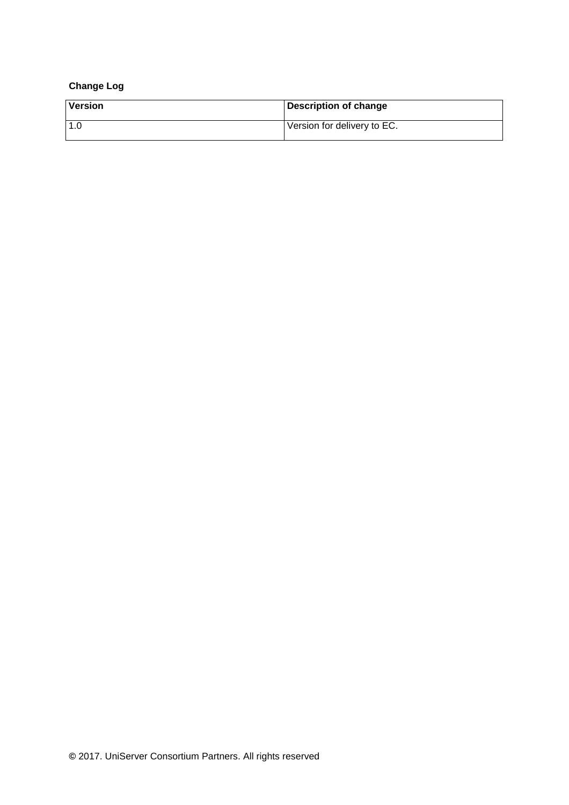#### **Change Log**

| <b>Version</b> | Description of change       |
|----------------|-----------------------------|
| 1.0            | Version for delivery to EC. |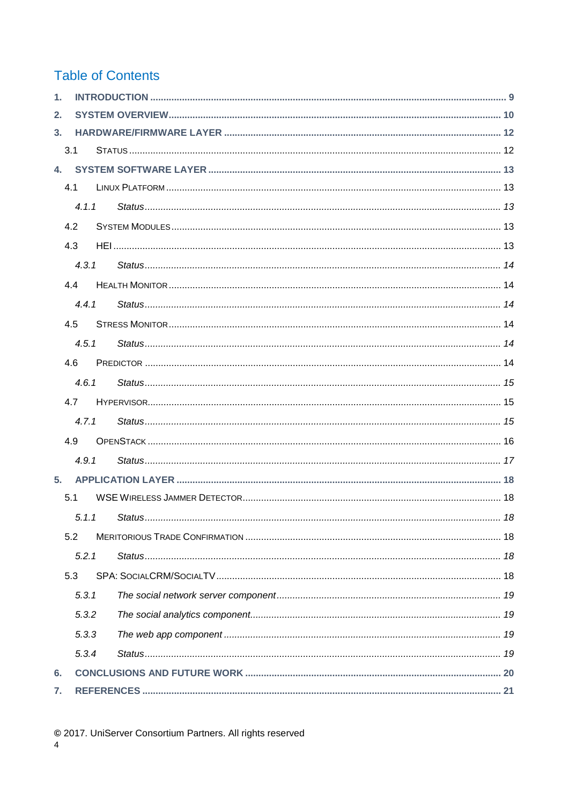### **Table of Contents**

| $\mathbf{1}$ . |       |  |  |
|----------------|-------|--|--|
| 2.             |       |  |  |
| 3 <sub>1</sub> |       |  |  |
|                | 3.1   |  |  |
|                |       |  |  |
|                | 4.1   |  |  |
|                | 4.1.1 |  |  |
|                | 4.2   |  |  |
|                | 4.3   |  |  |
|                | 4.3.1 |  |  |
|                | 44    |  |  |
|                | 441   |  |  |
|                | 4.5   |  |  |
|                | 4.5.1 |  |  |
|                | 4.6   |  |  |
|                | 4.6.1 |  |  |
|                | 4.7   |  |  |
|                | 4.7.1 |  |  |
|                | 4.9   |  |  |
|                | 4.9.1 |  |  |
| 5 <sub>1</sub> |       |  |  |
|                | 5.1   |  |  |
|                |       |  |  |
|                | 5.2   |  |  |
|                | 5.2.1 |  |  |
|                | 5.3   |  |  |
|                | 5.3.1 |  |  |
|                | 5.3.2 |  |  |
|                | 5.3.3 |  |  |
|                | 5.3.4 |  |  |
| 6.             |       |  |  |
| 7.             |       |  |  |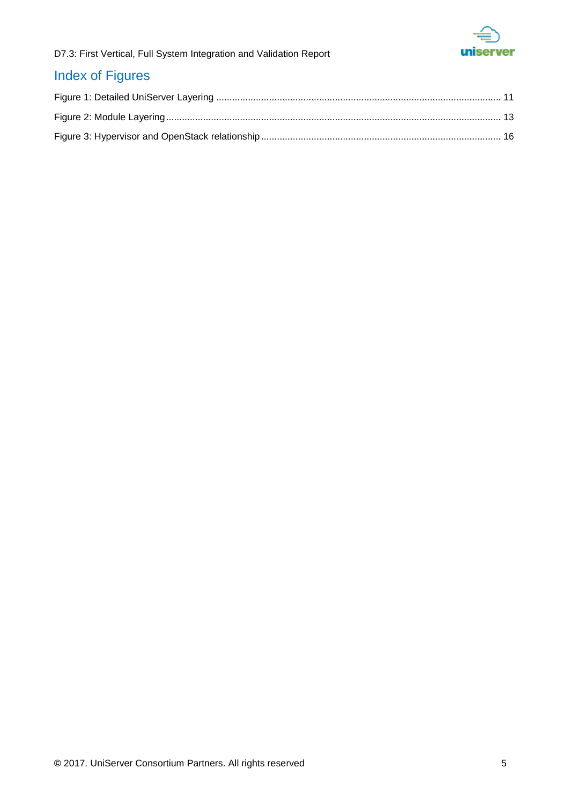

### Index of Figures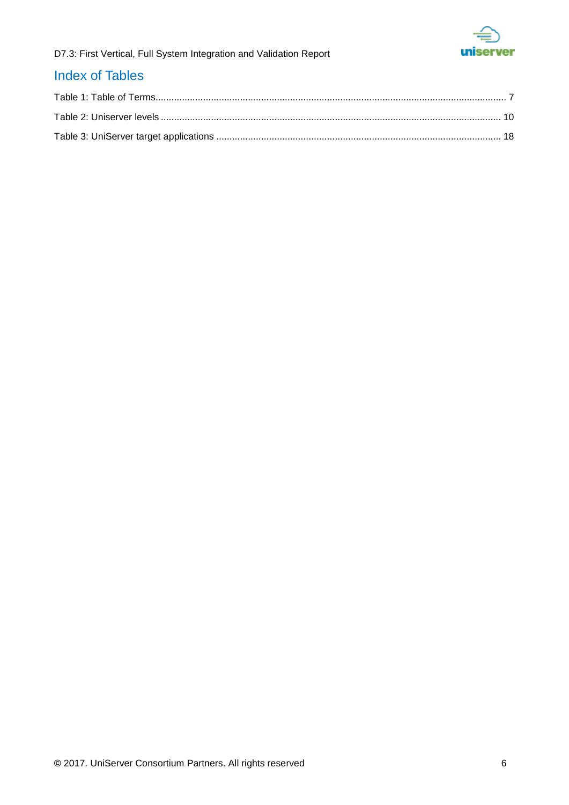

### Index of Tables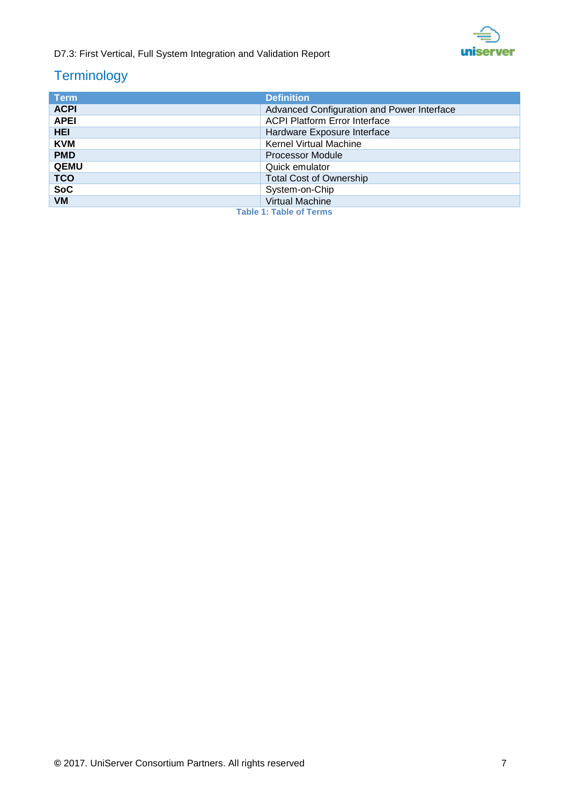

### **Terminology**

<span id="page-6-0"></span>

| <b>Term</b>                                 | <b>Definition</b>                          |
|---------------------------------------------|--------------------------------------------|
| <b>ACPI</b>                                 | Advanced Configuration and Power Interface |
| <b>APEI</b>                                 | <b>ACPI Platform Error Interface</b>       |
| <b>HEI</b>                                  | Hardware Exposure Interface                |
| <b>KVM</b><br><b>Kernel Virtual Machine</b> |                                            |
| <b>PMD</b>                                  | <b>Processor Module</b>                    |
| <b>QEMU</b>                                 | Quick emulator                             |
| <b>TCO</b>                                  | <b>Total Cost of Ownership</b>             |
| <b>SoC</b><br>System-on-Chip                |                                            |
| <b>VM</b>                                   | <b>Virtual Machine</b>                     |
|                                             | <b>Table 1: Table of Terms</b>             |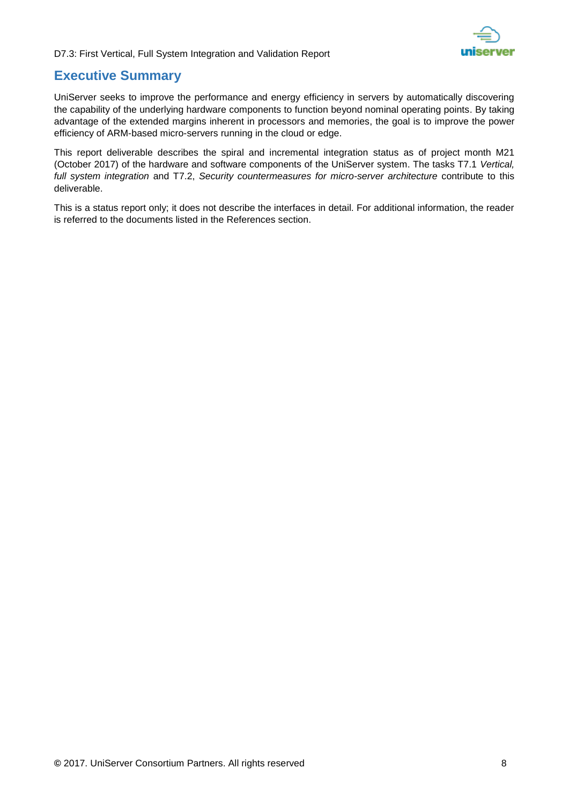

### **Executive Summary**

UniServer seeks to improve the performance and energy efficiency in servers by automatically discovering the capability of the underlying hardware components to function beyond nominal operating points. By taking advantage of the extended margins inherent in processors and memories, the goal is to improve the power efficiency of ARM-based micro-servers running in the cloud or edge.

This report deliverable describes the spiral and incremental integration status as of project month M21 (October 2017) of the hardware and software components of the UniServer system. The tasks T7.1 *Vertical, full system integration* and T7.2, *Security countermeasures for micro-server architecture* contribute to this deliverable.

This is a status report only; it does not describe the interfaces in detail. For additional information, the reader is referred to the documents listed in the References section.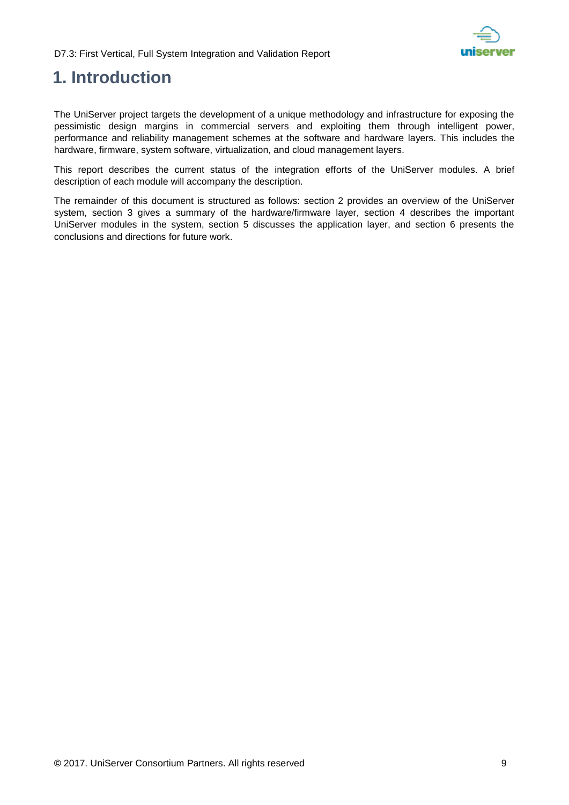

## <span id="page-8-0"></span>**1. Introduction**

The UniServer project targets the development of a unique methodology and infrastructure for exposing the pessimistic design margins in commercial servers and exploiting them through intelligent power, performance and reliability management schemes at the software and hardware layers. This includes the hardware, firmware, system software, virtualization, and cloud management layers.

This report describes the current status of the integration efforts of the UniServer modules. A brief description of each module will accompany the description.

The remainder of this document is structured as follows: section 2 provides an overview of the UniServer system, section 3 gives a summary of the hardware/firmware layer, section 4 describes the important UniServer modules in the system, section 5 discusses the application layer, and section 6 presents the conclusions and directions for future work.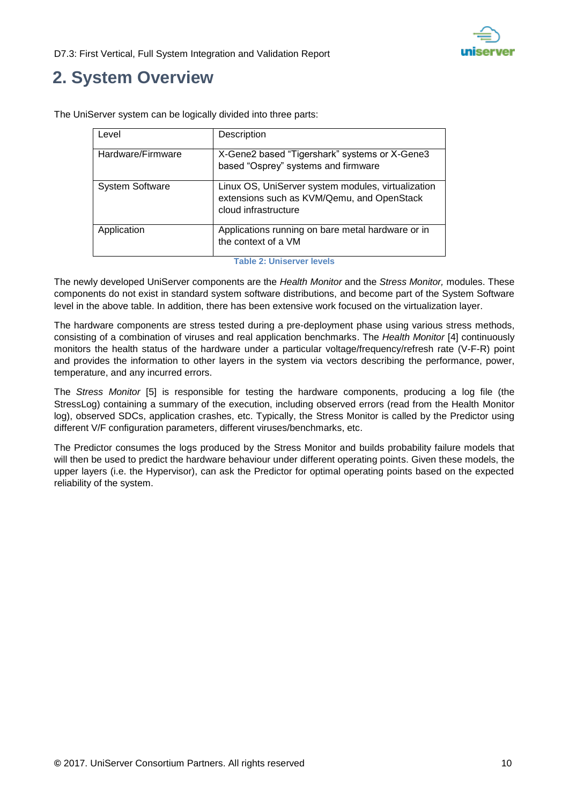

## <span id="page-9-0"></span>**2. System Overview**

| Level                  | Description                                                                                                              |
|------------------------|--------------------------------------------------------------------------------------------------------------------------|
| Hardware/Firmware      | X-Gene2 based "Tigershark" systems or X-Gene3<br>based "Osprey" systems and firmware                                     |
| <b>System Software</b> | Linux OS, UniServer system modules, virtualization<br>extensions such as KVM/Qemu, and OpenStack<br>cloud infrastructure |
| Application            | Applications running on bare metal hardware or in<br>the context of a VM                                                 |

The UniServer system can be logically divided into three parts:

**Table 2: Uniserver levels**

<span id="page-9-1"></span>The newly developed UniServer components are the *Health Monitor* and the *Stress Monitor,* modules. These components do not exist in standard system software distributions, and become part of the System Software level in the above table. In addition, there has been extensive work focused on the virtualization layer.

The hardware components are stress tested during a pre-deployment phase using various stress methods, consisting of a combination of viruses and real application benchmarks. The *Health Monitor* [\[4\]](#page-20-1) continuously monitors the health status of the hardware under a particular voltage/frequency/refresh rate (V-F-R) point and provides the information to other layers in the system via vectors describing the performance, power, temperature, and any incurred errors.

The *Stress Monitor* [\[5\]](#page-20-2) is responsible for testing the hardware components, producing a log file (the StressLog) containing a summary of the execution, including observed errors (read from the Health Monitor log), observed SDCs, application crashes, etc. Typically, the Stress Monitor is called by the Predictor using different V/F configuration parameters, different viruses/benchmarks, etc.

The Predictor consumes the logs produced by the Stress Monitor and builds probability failure models that will then be used to predict the hardware behaviour under different operating points. Given these models, the upper layers (i.e. the Hypervisor), can ask the Predictor for optimal operating points based on the expected reliability of the system.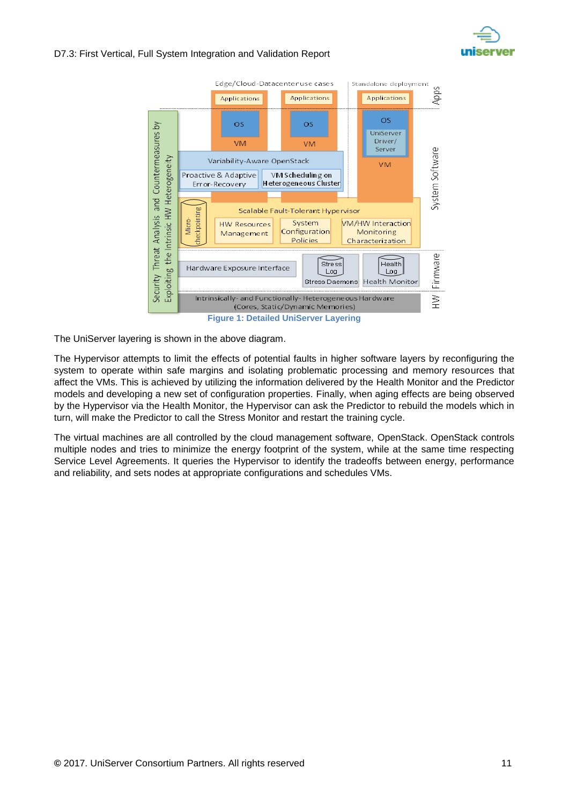



<span id="page-10-0"></span>The UniServer layering is shown in the above diagram.

The Hypervisor attempts to limit the effects of potential faults in higher software layers by reconfiguring the system to operate within safe margins and isolating problematic processing and memory resources that affect the VMs. This is achieved by utilizing the information delivered by the Health Monitor and the Predictor models and developing a new set of configuration properties. Finally, when aging effects are being observed by the Hypervisor via the Health Monitor, the Hypervisor can ask the Predictor to rebuild the models which in turn, will make the Predictor to call the Stress Monitor and restart the training cycle.

The virtual machines are all controlled by the cloud management software, OpenStack. OpenStack controls multiple nodes and tries to minimize the energy footprint of the system, while at the same time respecting Service Level Agreements. It queries the Hypervisor to identify the tradeoffs between energy, performance and reliability, and sets nodes at appropriate configurations and schedules VMs.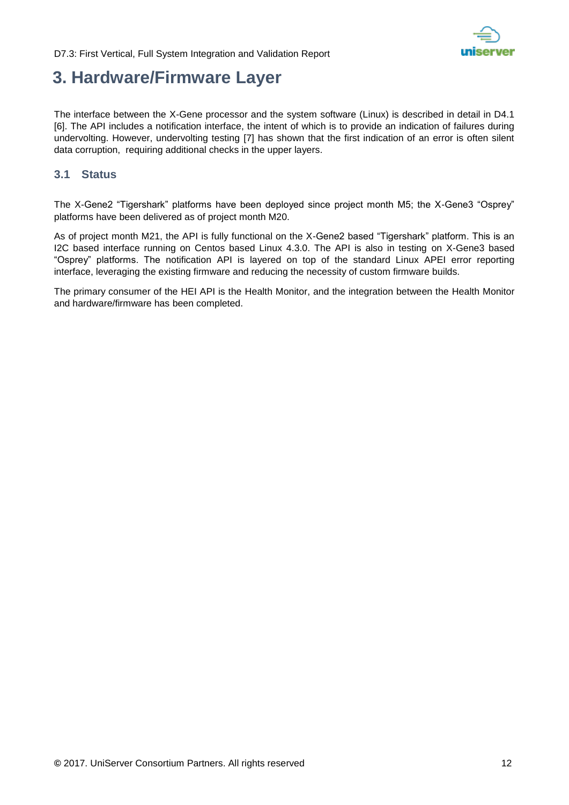

### <span id="page-11-0"></span>**3. Hardware/Firmware Layer**

The interface between the X-Gene processor and the system software (Linux) is described in detail in D4.1 [\[6\].](#page-20-3) The API includes a notification interface, the intent of which is to provide an indication of failures during undervolting. However, undervolting testing [\[7\]](#page-20-4) has shown that the first indication of an error is often silent data corruption, requiring additional checks in the upper layers.

#### <span id="page-11-1"></span>**3.1 Status**

The X-Gene2 "Tigershark" platforms have been deployed since project month M5; the X-Gene3 "Osprey" platforms have been delivered as of project month M20.

As of project month M21, the API is fully functional on the X-Gene2 based "Tigershark" platform. This is an I2C based interface running on Centos based Linux 4.3.0. The API is also in testing on X-Gene3 based "Osprey" platforms. The notification API is layered on top of the standard Linux APEI error reporting interface, leveraging the existing firmware and reducing the necessity of custom firmware builds.

The primary consumer of the HEI API is the Health Monitor, and the integration between the Health Monitor and hardware/firmware has been completed.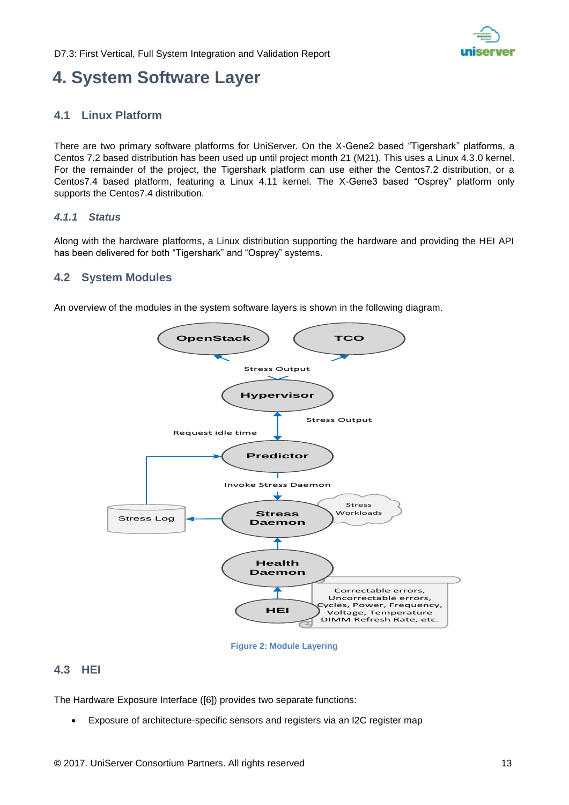

## <span id="page-12-0"></span>**4. System Software Layer**

#### <span id="page-12-1"></span>**4.1 Linux Platform**

There are two primary software platforms for UniServer. On the X-Gene2 based "Tigershark" platforms, a Centos 7.2 based distribution has been used up until project month 21 (M21). This uses a Linux 4.3.0 kernel. For the remainder of the project, the Tigershark platform can use either the Centos7.2 distribution, or a Centos7.4 based platform, featuring a Linux 4.11 kernel. The X-Gene3 based "Osprey" platform only supports the Centos7.4 distribution.

#### <span id="page-12-2"></span>*4.1.1 Status*

Along with the hardware platforms, a Linux distribution supporting the hardware and providing the HEI API has been delivered for both "Tigershark" and "Osprey" systems.

#### <span id="page-12-3"></span>**4.2 System Modules**

An overview of the modules in the system software layers is shown in the following diagram.



**Figure 2: Module Layering**

#### <span id="page-12-5"></span><span id="page-12-4"></span>**4.3 HEI**

The Hardware Exposure Interface [\(\[6\]\)](#page-20-3) provides two separate functions:

Exposure of architecture-specific sensors and registers via an I2C register map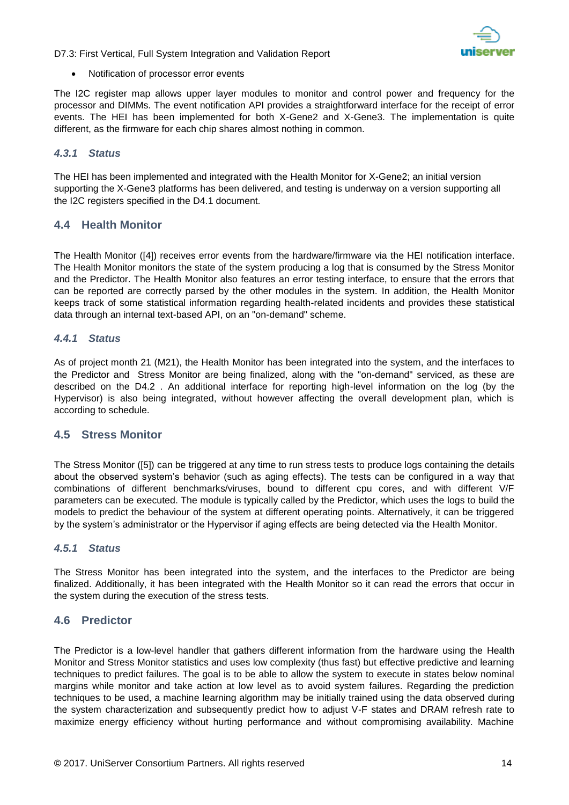

Notification of processor error events

The I2C register map allows upper layer modules to monitor and control power and frequency for the processor and DIMMs. The event notification API provides a straightforward interface for the receipt of error events. The HEI has been implemented for both X-Gene2 and X-Gene3. The implementation is quite different, as the firmware for each chip shares almost nothing in common.

#### <span id="page-13-0"></span>*4.3.1 Status*

The HEI has been implemented and integrated with the Health Monitor for X-Gene2; an initial version supporting the X-Gene3 platforms has been delivered, and testing is underway on a version supporting all the I2C registers specified in the D4.1 document.

#### <span id="page-13-1"></span>**4.4 Health Monitor**

The Health Monitor [\(\[4\]\)](#page-20-1) receives error events from the hardware/firmware via the HEI notification interface. The Health Monitor monitors the state of the system producing a log that is consumed by the Stress Monitor and the Predictor. The Health Monitor also features an error testing interface, to ensure that the errors that can be reported are correctly parsed by the other modules in the system. In addition, the Health Monitor keeps track of some statistical information regarding health-related incidents and provides these statistical data through an internal text-based API, on an "on-demand" scheme.

#### <span id="page-13-2"></span>*4.4.1 Status*

As of project month 21 (M21), the Health Monitor has been integrated into the system, and the interfaces to the Predictor and Stress Monitor are being finalized, along with the "on-demand" serviced, as these are described on the D4.2 . An additional interface for reporting high-level information on the log (by the Hypervisor) is also being integrated, without however affecting the overall development plan, which is according to schedule.

#### <span id="page-13-3"></span>**4.5 Stress Monitor**

The Stress Monitor [\(\[5\]\)](#page-20-2) can be triggered at any time to run stress tests to produce logs containing the details about the observed system's behavior (such as aging effects). The tests can be configured in a way that combinations of different benchmarks/viruses, bound to different cpu cores, and with different V/F parameters can be executed. The module is typically called by the Predictor, which uses the logs to build the models to predict the behaviour of the system at different operating points. Alternatively, it can be triggered by the system's administrator or the Hypervisor if aging effects are being detected via the Health Monitor.

#### <span id="page-13-4"></span>*4.5.1 Status*

The Stress Monitor has been integrated into the system, and the interfaces to the Predictor are being finalized. Additionally, it has been integrated with the Health Monitor so it can read the errors that occur in the system during the execution of the stress tests.

#### <span id="page-13-5"></span>**4.6 Predictor**

The Predictor is a low-level handler that gathers different information from the hardware using the Health Monitor and Stress Monitor statistics and uses low complexity (thus fast) but effective predictive and learning techniques to predict failures. The goal is to be able to allow the system to execute in states below nominal margins while monitor and take action at low level as to avoid system failures. Regarding the prediction techniques to be used, a machine learning algorithm may be initially trained using the data observed during the system characterization and subsequently predict how to adjust V-F states and DRAM refresh rate to maximize energy efficiency without hurting performance and without compromising availability. Machine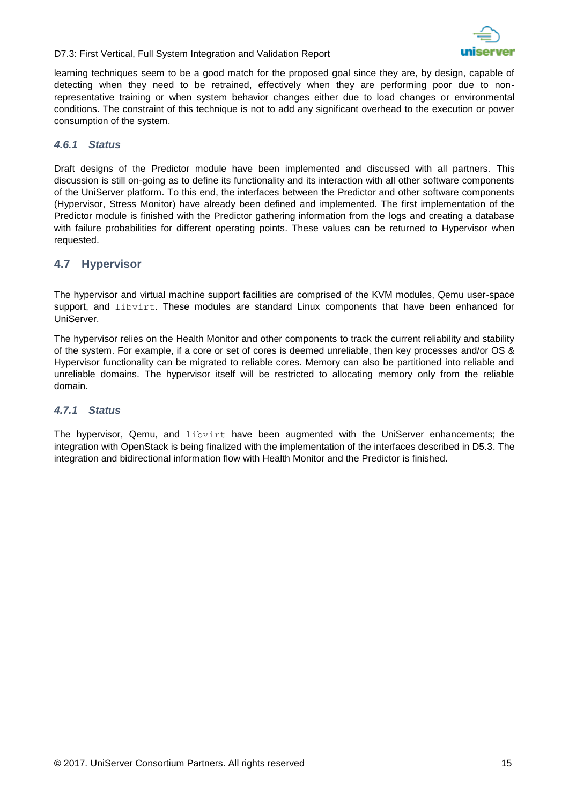



learning techniques seem to be a good match for the proposed goal since they are, by design, capable of detecting when they need to be retrained, effectively when they are performing poor due to nonrepresentative training or when system behavior changes either due to load changes or environmental conditions. The constraint of this technique is not to add any significant overhead to the execution or power consumption of the system.

#### <span id="page-14-0"></span>*4.6.1 Status*

Draft designs of the Predictor module have been implemented and discussed with all partners. This discussion is still on-going as to define its functionality and its interaction with all other software components of the UniServer platform. To this end, the interfaces between the Predictor and other software components (Hypervisor, Stress Monitor) have already been defined and implemented. The first implementation of the Predictor module is finished with the Predictor gathering information from the logs and creating a database with failure probabilities for different operating points. These values can be returned to Hypervisor when requested.

#### <span id="page-14-1"></span>**4.7 Hypervisor**

The hypervisor and virtual machine support facilities are comprised of the KVM modules, Qemu user-space support, and libvirt. These modules are standard Linux components that have been enhanced for UniServer.

The hypervisor relies on the Health Monitor and other components to track the current reliability and stability of the system. For example, if a core or set of cores is deemed unreliable, then key processes and/or OS & Hypervisor functionality can be migrated to reliable cores. Memory can also be partitioned into reliable and unreliable domains. The hypervisor itself will be restricted to allocating memory only from the reliable domain.

#### <span id="page-14-2"></span>*4.7.1 Status*

The hypervisor, Qemu, and libvirt have been augmented with the UniServer enhancements; the integration with OpenStack is being finalized with the implementation of the interfaces described in D5.3. The integration and bidirectional information flow with Health Monitor and the Predictor is finished.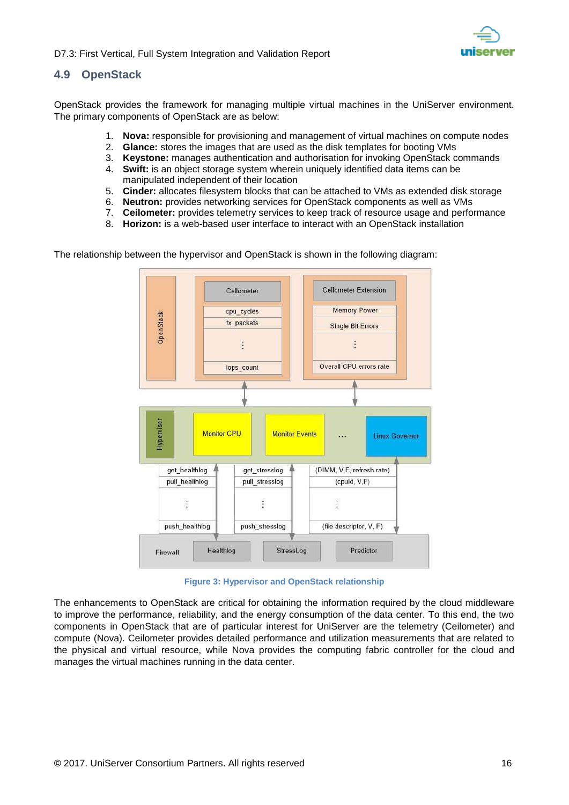

#### <span id="page-15-0"></span>**4.9 OpenStack**

OpenStack provides the framework for managing multiple virtual machines in the UniServer environment. The primary components of OpenStack are as below:

- 1. **Nova:** responsible for provisioning and management of virtual machines on compute nodes
- 2. **Glance:** stores the images that are used as the disk templates for booting VMs
- 3. **Keystone:** manages authentication and authorisation for invoking OpenStack commands
- 4. **Swift:** is an object storage system wherein uniquely identified data items can be manipulated independent of their location
- 5. **Cinder:** allocates filesystem blocks that can be attached to VMs as extended disk storage
- 6. **Neutron:** provides networking services for OpenStack components as well as VMs
- 7. **Ceilometer:** provides telemetry services to keep track of resource usage and performance
- 8. **Horizon:** is a web-based user interface to interact with an OpenStack installation

The relationship between the hypervisor and OpenStack is shown in the following diagram:



**Figure 3: Hypervisor and OpenStack relationship**

<span id="page-15-1"></span>The enhancements to OpenStack are critical for obtaining the information required by the cloud middleware to improve the performance, reliability, and the energy consumption of the data center. To this end, the two components in OpenStack that are of particular interest for UniServer are the telemetry (Ceilometer) and compute (Nova). Ceilometer provides detailed performance and utilization measurements that are related to the physical and virtual resource, while Nova provides the computing fabric controller for the cloud and manages the virtual machines running in the data center.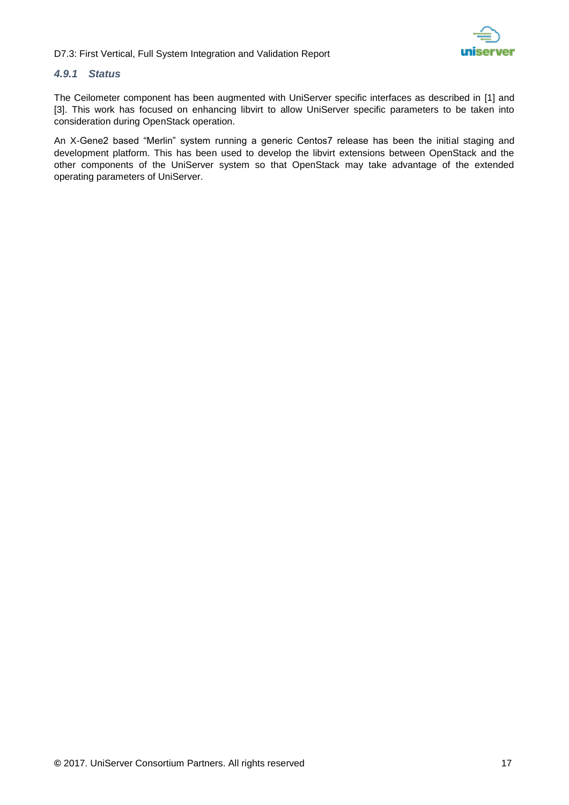#### <span id="page-16-0"></span>*4.9.1 Status*

The Ceilometer component has been augmented with UniServer specific interfaces as described in [\[1\]](#page-20-5) and [\[3\].](#page-20-6) This work has focused on enhancing libvirt to allow UniServer specific parameters to be taken into consideration during OpenStack operation.

An X-Gene2 based "Merlin" system running a generic Centos7 release has been the initial staging and development platform. This has been used to develop the libvirt extensions between OpenStack and the other components of the UniServer system so that OpenStack may take advantage of the extended operating parameters of UniServer.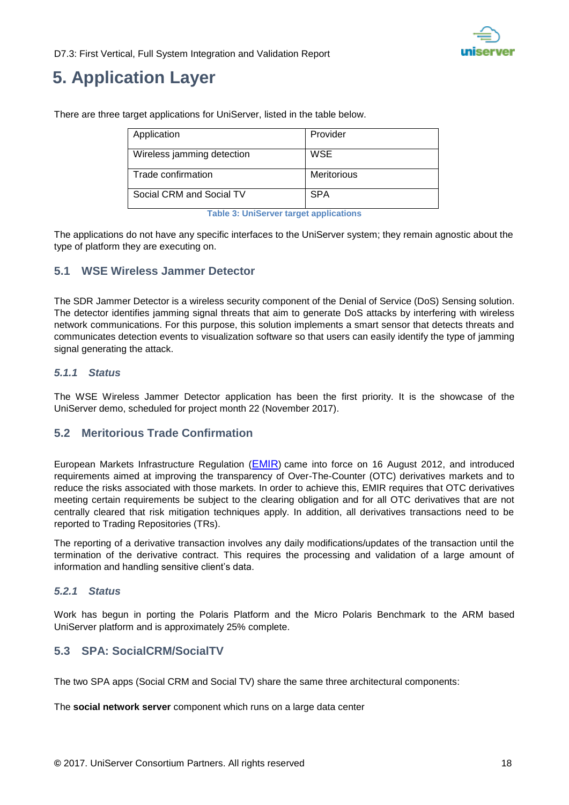

## <span id="page-17-0"></span>**5. Application Layer**

| Application                | Provider           |
|----------------------------|--------------------|
| Wireless jamming detection | <b>WSE</b>         |
| Trade confirmation         | <b>Meritorious</b> |
| Social CRM and Social TV   | <b>SPA</b>         |

There are three target applications for UniServer, listed in the table below.

**Table 3: UniServer target applications**

<span id="page-17-6"></span>The applications do not have any specific interfaces to the UniServer system; they remain agnostic about the type of platform they are executing on.

#### <span id="page-17-1"></span>**5.1 WSE Wireless Jammer Detector**

The SDR Jammer Detector is a wireless security component of the Denial of Service (DoS) Sensing solution. The detector identifies jamming signal threats that aim to generate DoS attacks by interfering with wireless network communications. For this purpose, this solution implements a smart sensor that detects threats and communicates detection events to visualization software so that users can easily identify the type of jamming signal generating the attack.

#### <span id="page-17-2"></span>*5.1.1 Status*

The WSE Wireless Jammer Detector application has been the first priority. It is the showcase of the UniServer demo, scheduled for project month 22 (November 2017).

#### <span id="page-17-3"></span>**5.2 Meritorious Trade Confirmation**

European Markets Infrastructure Regulation ([EMIR](http://eur-lex.europa.eu/LexUriServ/LexUriServ.do?uri=CELEX:32012R0648:EN:NOT)) came into force on 16 August 2012, and introduced requirements aimed at improving the transparency of Over-The-Counter (OTC) derivatives markets and to reduce the risks associated with those markets. In order to achieve this, EMIR requires that OTC derivatives meeting certain requirements be subject to the clearing obligation and for all OTC derivatives that are not centrally cleared that risk mitigation techniques apply. In addition, all derivatives transactions need to be reported to Trading Repositories (TRs).

The reporting of a derivative transaction involves any daily modifications/updates of the transaction until the termination of the derivative contract. This requires the processing and validation of a large amount of information and handling sensitive client's data.

#### <span id="page-17-4"></span>*5.2.1 Status*

Work has begun in porting the Polaris Platform and the Micro Polaris Benchmark to the ARM based UniServer platform and is approximately 25% complete.

#### <span id="page-17-5"></span>**5.3 SPA: SocialCRM/SocialTV**

The two SPA apps (Social CRM and Social TV) share the same three architectural components:

The **social network server** component which runs on a large data center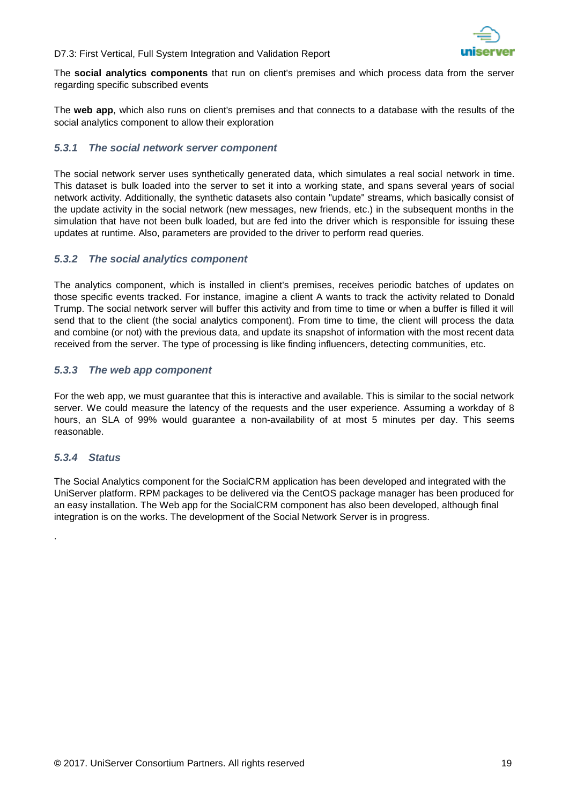

The **social analytics components** that run on client's premises and which process data from the server regarding specific subscribed events

The **web app**, which also runs on client's premises and that connects to a database with the results of the social analytics component to allow their exploration

#### <span id="page-18-0"></span>*5.3.1 The social network server component*

The social network server uses synthetically generated data, which simulates a real social network in time. This dataset is bulk loaded into the server to set it into a working state, and spans several years of social network activity. Additionally, the synthetic datasets also contain "update" streams, which basically consist of the update activity in the social network (new messages, new friends, etc.) in the subsequent months in the simulation that have not been bulk loaded, but are fed into the driver which is responsible for issuing these updates at runtime. Also, parameters are provided to the driver to perform read queries.

#### <span id="page-18-1"></span>*5.3.2 The social analytics component*

The analytics component, which is installed in client's premises, receives periodic batches of updates on those specific events tracked. For instance, imagine a client A wants to track the activity related to Donald Trump. The social network server will buffer this activity and from time to time or when a buffer is filled it will send that to the client (the social analytics component). From time to time, the client will process the data and combine (or not) with the previous data, and update its snapshot of information with the most recent data received from the server. The type of processing is like finding influencers, detecting communities, etc.

#### <span id="page-18-2"></span>*5.3.3 The web app component*

For the web app, we must guarantee that this is interactive and available. This is similar to the social network server. We could measure the latency of the requests and the user experience. Assuming a workday of 8 hours, an SLA of 99% would guarantee a non-availability of at most 5 minutes per day. This seems reasonable.

#### <span id="page-18-3"></span>*5.3.4 Status*

.

The Social Analytics component for the SocialCRM application has been developed and integrated with the UniServer platform. RPM packages to be delivered via the CentOS package manager has been produced for an easy installation. The Web app for the SocialCRM component has also been developed, although final integration is on the works. The development of the Social Network Server is in progress.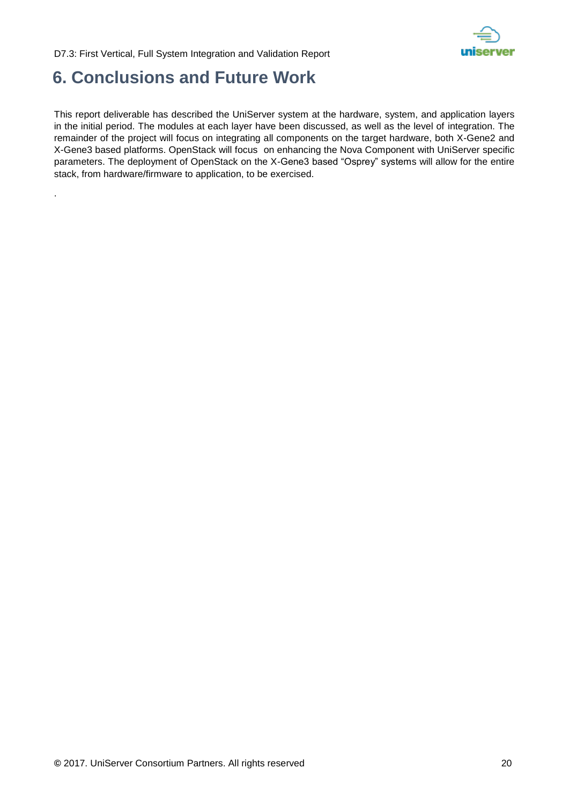

## <span id="page-19-0"></span>**6. Conclusions and Future Work**

.

This report deliverable has described the UniServer system at the hardware, system, and application layers in the initial period. The modules at each layer have been discussed, as well as the level of integration. The remainder of the project will focus on integrating all components on the target hardware, both X-Gene2 and X-Gene3 based platforms. OpenStack will focus on enhancing the Nova Component with UniServer specific parameters. The deployment of OpenStack on the X-Gene3 based "Osprey" systems will allow for the entire stack, from hardware/firmware to application, to be exercised.